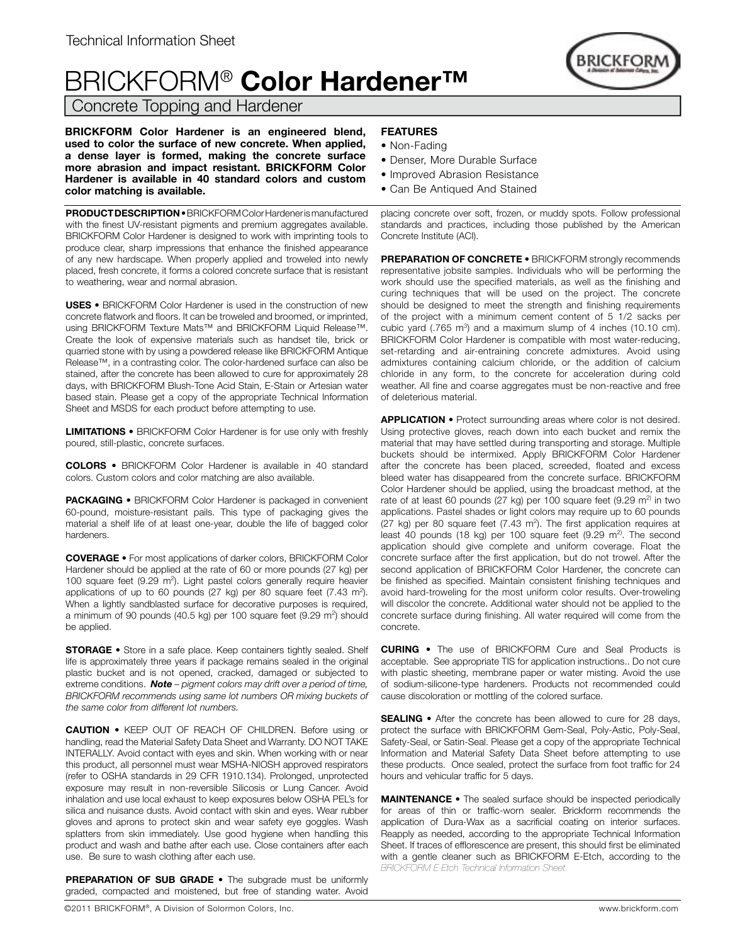## BRICKFORM® **Color Hardener™**

Concrete Topping and Hardener

**BRICKFORM Color Hardener is an engineered blend, used to color the surface of new concrete. When applied, a dense layer is formed, making the concrete surface more abrasion and impact resistant. BRICKFORM Color Hardener is available in 40 standard colors and custom color matching is available.** 

**PRODUCT DESCRIPTION •** BRICKFORM Color Hardener is manufactured with the finest UV-resistant pigments and premium aggregates available. BRICKFORM Color Hardener is designed to work with imprinting tools to produce clear, sharp impressions that enhance the finished appearance of any new hardscape. When properly applied and troweled into newly placed, fresh concrete, it forms a colored concrete surface that is resistant to weathering, wear and normal abrasion.

**USES •** BRICKFORM Color Hardener is used in the construction of new concrete flatwork and floors. It can be troweled and broomed, or imprinted, using BRICKFORM Texture Mats™ and BRICKFORM Liquid Release™. Create the look of expensive materials such as handset tile, brick or quarried stone with by using a powdered release like BRICKFORM Antique Release™, in a contrasting color. The color-hardened surface can also be stained, after the concrete has been allowed to cure for approximately 28 days, with BRICKFORM Blush-Tone Acid Stain, E-Stain or Artesian water based stain. Please get a copy of the appropriate Technical Information Sheet and MSDS for each product before attempting to use.

**LIMITATIONS •** BRICKFORM Color Hardener is for use only with freshly poured, still-plastic, concrete surfaces.

**COLORS •** BRICKFORM Color Hardener is available in 40 standard colors. Custom colors and color matching are also available.

**PACKAGING •** BRICKFORM Color Hardener is packaged in convenient 60-pound, moisture-resistant pails. This type of packaging gives the material a shelf life of at least one-year, double the life of bagged color hardeners.

**COVERAGE •** For most applications of darker colors, BRICKFORM Color Hardener should be applied at the rate of 60 or more pounds (27 kg) per 100 square feet  $(9.29 \text{ m}^2)$ . Light pastel colors generally require heavier applications of up to 60 pounds (27 kg) per 80 square feet  $(7.43 \text{ m}^2)$ . When a lightly sandblasted surface for decorative purposes is required, a minimum of 90 pounds (40.5 kg) per 100 square feet (9.29  $m^2$ ) should be applied.

**STORAGE •** Store in a safe place. Keep containers tightly sealed. Shelf life is approximately three years if package remains sealed in the original plastic bucket and is not opened, cracked, damaged or subjected to extreme conditions. *Note – pigment colors may drift over a period of time, BRICKFORM recommends using same lot numbers OR mixing buckets of the same color from different lot numbers.*

**CAUTION •** KEEP OUT OF REACH OF CHILDREN. Before using or handling, read the Material Safety Data Sheet and Warranty. DO NOT TAKE INTERALLY. Avoid contact with eyes and skin. When working with or near this product, all personnel must wear MSHA-NIOSH approved respirators (refer to OSHA standards in 29 CFR 1910.134). Prolonged, unprotected exposure may result in non-reversible Silicosis or Lung Cancer. Avoid inhalation and use local exhaust to keep exposures below OSHA PEL's for silica and nuisance dusts. Avoid contact with skin and eyes. Wear rubber gloves and aprons to protect skin and wear safety eye goggles. Wash splatters from skin immediately. Use good hygiene when handling this product and wash and bathe after each use. Close containers after each use. Be sure to wash clothing after each use.

**PREPARATION OF SUB GRADE •** The subgrade must be uniformly graded, compacted and moistened, but free of standing water. Avoid

## **FEATURES**

- Non-Fading
- Denser, More Durable Surface
- Improved Abrasion Resistance
- Can Be Antiqued And Stained

placing concrete over soft, frozen, or muddy spots. Follow professional standards and practices, including those published by the American Concrete Institute (ACI).

**PREPARATION OF CONCRETE •** BRICKFORM strongly recommends representative jobsite samples. Individuals who will be performing the work should use the specified materials, as well as the finishing and curing techniques that will be used on the project. The concrete should be designed to meet the strength and finishing requirements of the project with a minimum cement content of 5 1/2 sacks per cubic yard  $(.765 \text{ m}^3)$  and a maximum slump of 4 inches  $(10.10 \text{ cm})$ . BRICKFORM Color Hardener is compatible with most water-reducing, set-retarding and air-entraining concrete admixtures. Avoid using admixtures containing calcium chloride, or the addition of calcium chloride in any form, to the concrete for acceleration during cold weather. All fine and coarse aggregates must be non-reactive and free of deleterious material.

**APPLICATION •** Protect surrounding areas where color is not desired. Using protective gloves, reach down into each bucket and remix the material that may have settled during transporting and storage. Multiple buckets should be intermixed. Apply BRICKFORM Color Hardener after the concrete has been placed, screeded, floated and excess bleed water has disappeared from the concrete surface. BRICKFORM Color Hardener should be applied, using the broadcast method, at the rate of at least 60 pounds (27 kg) per 100 square feet (9.29  $m<sup>2</sup>$  in two applications. Pastel shades or light colors may require up to 60 pounds  $(27 \text{ kg})$  per 80 square feet  $(7.43 \text{ m}^2)$ . The first application requires at least 40 pounds (18 kg) per 100 square feet  $(9.29 \text{ m}^2)$ . The second application should give complete and uniform coverage. Float the concrete surface after the first application, but do not trowel. After the second application of BRICKFORM Color Hardener, the concrete can be finished as specified. Maintain consistent finishing techniques and avoid hard-troweling for the most uniform color results. Over-troweling will discolor the concrete. Additional water should not be applied to the concrete surface during finishing. All water required will come from the concrete.

**CURING •** The use of BRICKFORM Cure and Seal Products is acceptable. See appropriate TIS for application instructions.. Do not cure with plastic sheeting, membrane paper or water misting. Avoid the use of sodium-silicone-type hardeners. Products not recommended could cause discoloration or mottling of the colored surface.

**SEALING** • After the concrete has been allowed to cure for 28 days, protect the surface with BRICKFORM Gem-Seal, Poly-Astic, Poly-Seal, Safety-Seal, or Satin-Seal. Please get a copy of the appropriate Technical Information and Material Safety Data Sheet before attempting to use these products. Once sealed, protect the surface from foot traffic for 24 hours and vehicular traffic for 5 days.

**MAINTENANCE •** The sealed surface should be inspected periodically for areas of thin or traffic-worn sealer. Brickform recommends the application of Dura-Wax as a sacrificial coating on interior surfaces. Reapply as needed, according to the appropriate Technical Information Sheet. If traces of efflorescence are present, this should first be eliminated with a gentle cleaner such as BRICKFORM E-Etch, according to the *BRICKFORM E-Etch Technical Information Sheet.*